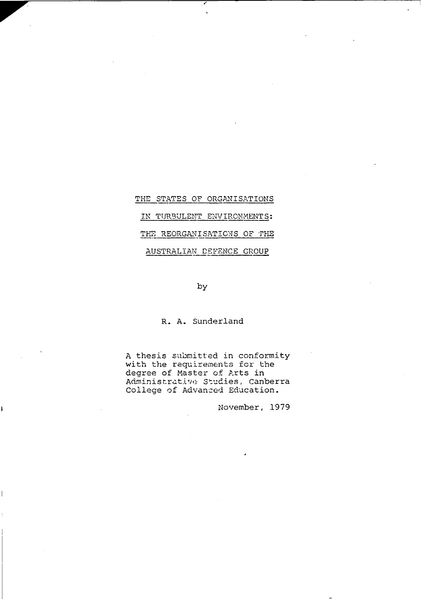# THE STATES OF ORGANISATIONS IN TURBULENT ENVIRONMENTS: THE REORGANISATIONS OF THE AUSTRALIAN DEFENCE GROUP

### by

## R. A. Sunderland

A thesis submitted in conformity with the requirements for the degree of Master of Arts in Administrative Studies, Canberra College of Advanced Education.

November, 1979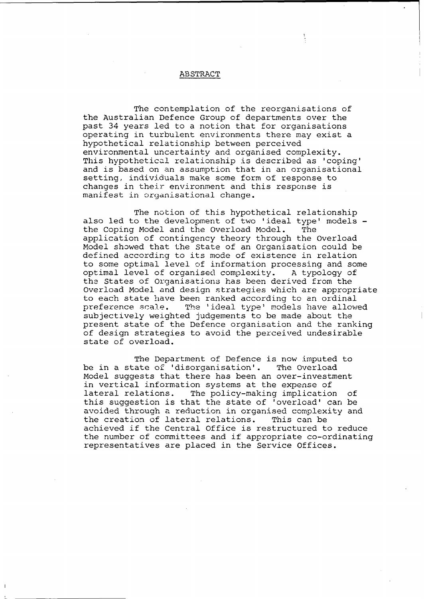#### ABSTRACT

The contemplation of the reorganisations of the Australian Defence Group of departments over the past 34 years led to a notion that for organisations operating in turbulent environments there may exist a hypothetical relationship between perceived environmental uncertainty and organised complexity. This hypothetical relationship is described as 'coping' and is based on an assumption that in an organisational setting, individuals make some form of response to changes in their environment and this response is manifest in organisational change.

The notion of this hypothetical relationship also led to the development of two 'ideal type' models the Coping Model and the Overload Model. The application of contingency theory through the Overload Model showed that the State of an Organisation could be defined according to its mode of existence in relation to some optimal level of information processing and some optimal level of organised complexity. A typology of the States of Organisations has been derived from the Overload Model and design strategies which are appropriate to each state have been ranked according to an ordinal<br>preference scale. The 'ideal type' models have allow The 'ideal type' models have allowed subjectively weighted judgements to be made about the present state of the Defence organisation and the ranking of design strategies to avoid the perceived undesirable state of overload.

The Department of Defence is now imputed to be in a state of 'disorganisation'. The Overload Model suggests that there has been an over-investment in vertical information systems at the expense of lateral relations. The policy-making implication of this suggestion is that the state of 'overload' can be avoided through a reduction in organised complexity and the creation of lateral relations. This can be achieved if the Central Office is restructured to reduce the number of committees and if appropriate co-ordinating representatives are placed in the Service Offices.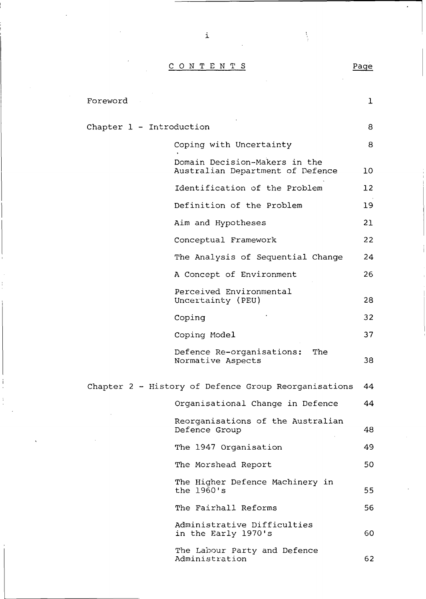CONTENT S Page

 $\mathbf{i}$ 

| Foreword                                             |                                                                   | $\mathbf{I}$    |
|------------------------------------------------------|-------------------------------------------------------------------|-----------------|
| Chapter 1 - Introduction                             |                                                                   | 8               |
|                                                      | Coping with Uncertainty                                           | 8               |
|                                                      | Domain Decision-Makers in the<br>Australian Department of Defence | 10              |
|                                                      | Identification of the Problem                                     | 12 <sup>°</sup> |
|                                                      | Definition of the Problem                                         | 19              |
|                                                      | Aim and Hypotheses                                                | 21              |
|                                                      | Conceptual Framework                                              | 22              |
|                                                      | The Analysis of Sequential Change                                 | 24              |
|                                                      | A Concept of Environment                                          | 26              |
|                                                      | Perceived Environmental<br>Uncertainty (PEU)                      | 28              |
|                                                      | Coping                                                            | 32              |
|                                                      | Coping Model                                                      | 37              |
|                                                      | Defence Re-organisations:<br>The<br>Normative Aspects             | 38              |
| Chapter 2 - History of Defence Group Reorganisations |                                                                   |                 |
|                                                      | Organisational Change in Defence                                  | 44              |
|                                                      | Reorganisations of the Australian<br>Defence Group                | 48              |
|                                                      | The 1947 Organisation                                             | 49              |
|                                                      | The Morshead Report                                               | 50              |
|                                                      | The Higher Defence Machinery in<br>the 1960's                     | 55              |
|                                                      | The Fairhall Reforms                                              | 56              |
|                                                      | Administrative Difficulties<br>in the Early 1970's                | 60              |
|                                                      | The Labour Party and Defence<br>Administration                    | 62              |

Í

I  $\mathbf i$ 

÷,

 $\frac{1}{3}$ 

 $\hat{\textbf{z}}$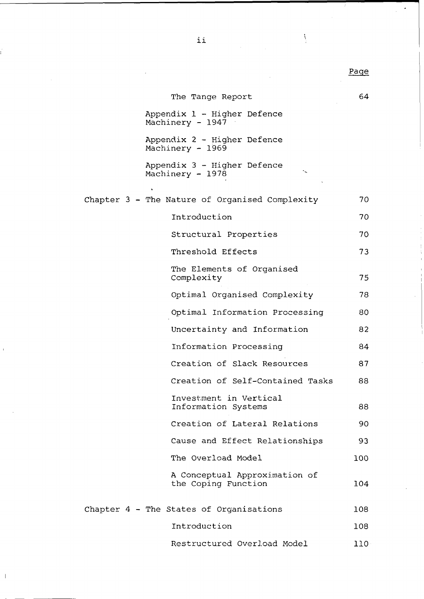| The Tange Report                                     | 64               |
|------------------------------------------------------|------------------|
| Appendix 1 - Higher Defence<br>Machinery - 1947      |                  |
| Appendix 2 - Higher Defence<br>Machinery - 1969      |                  |
| Appendix 3 - Higher Defence<br>Machinery - 1978      |                  |
|                                                      |                  |
| Chapter 3 - The Nature of Organised Complexity       | 70               |
| Introduction                                         | 70               |
| Structural Properties                                | 70               |
| Threshold Effects                                    | 73               |
| The Elements of Organised<br>Complexity              | 75               |
| Optimal Organised Complexity                         | 78               |
| Optimal Information Processing                       | 80               |
| Uncertainty and Information                          | 82               |
| Information Processing                               | 84               |
| Creation of Slack Resources                          | 87               |
| Creation of Self-Contained Tasks                     | 88               |
| Investment in Vertical<br>Information Systems        | 88               |
| Creation of Lateral Relations                        | 90               |
| Cause and Effect Relationships                       | 93               |
| The Overload Model                                   | 100              |
| A Conceptual Approximation of<br>the Coping Function | 104              |
| Chapter $4$ - The States of Organisations            | 108              |
| Introduction                                         | 108              |
| Restructured Overload Model                          | 110 <sup>1</sup> |

 $\bar{\bar{1}}$ 

Page

 $\frac{1}{2}$ 

 $\cdot$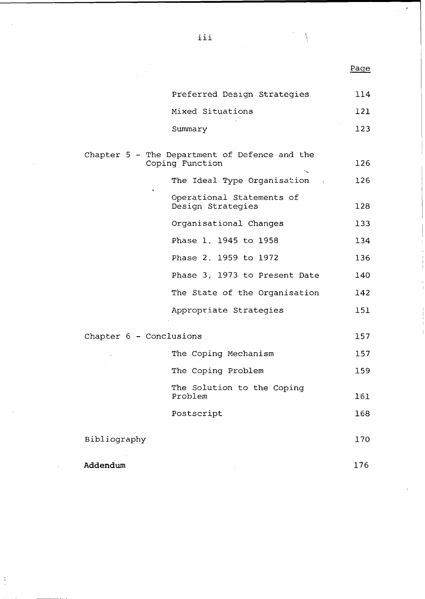|                         |                                                                  | <u>Page</u> |
|-------------------------|------------------------------------------------------------------|-------------|
|                         | Preferred Design Strategies                                      | 114         |
|                         | Mixed Situations                                                 | 121         |
|                         | Summary                                                          | 123         |
|                         | Chapter 5 - The Department of Defence and the<br>Coping Function | 126         |
|                         | The Ideal Type Organisation                                      | 126         |
| $\ddot{\phantom{0}}$    | Operational Statements of<br>Design Strategies                   | 128         |
|                         | Organisational Changes                                           | 133         |
|                         | Phase 1, 1945 to 1958                                            | 134         |
|                         | Phase 2, 1959 to 1972                                            | 136         |
|                         | Phase 3, 1973 to Present Date                                    | 140         |
|                         | The State of the Organisation                                    | 142         |
|                         | Appropriate Strategies                                           | 151         |
| Chapter 6 - Conclusions |                                                                  | 157         |
|                         | The Coping Mechanism                                             | 157         |
|                         | The Coping Problem                                               | 159         |
|                         | The Solution to the Coping<br>Problem                            | 161         |
|                         | Postscript                                                       | 168         |
| Bibliography            |                                                                  | 170         |
| Addendum                |                                                                  | 176         |

 $\frac{1}{2}$ 

III

 $\frac{1}{2}$ 

 $\ddot{\phantom{0}}$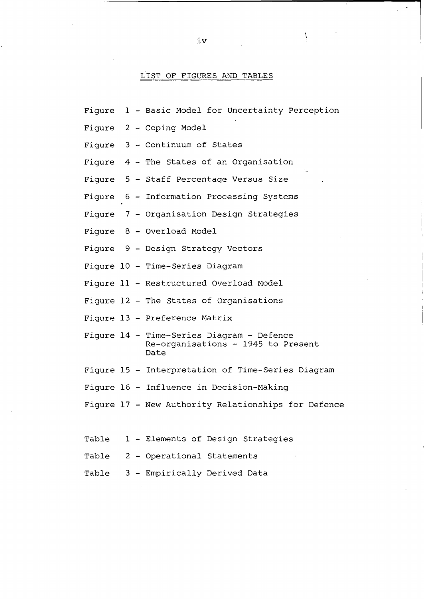#### LIST OF FIGURES AND TABLES

- Figure 1 Basic Model for Uncertainty Perception
- Figure 2 Coping Model
- Figure 3 Continuum of States
- Figure 4 The States of an Organisation
- Figure 5 Staff Percentage Versus Size
- Figure 6 Information Processing Systems
- Figure 7 Organisation Design Strategies
- Figure 8 Overload Model
- Figure 9 Design Strategy Vectors
- Figure 10 Time-Series Diagram
- Figure 11 Restructured Overload Model
- Figure 12 The States of Organisations
- Figure 13 Preference Matrix
- Figure 14 Time-Series Diagram Defence Re-organisations - 1945 to Present Date
- Figure 15 Interpretation of Time-Series Diagram
- Figure 16 Influence in Decision-Making
- Figure 17 New Authority Relationships for Defence
- Table 1 Elements of Design Strategies
- Table 2 Operational Statements
- Table 3 Empirically Derived Data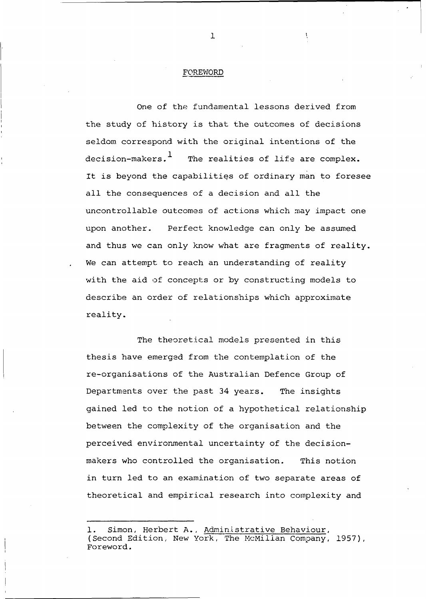#### FOREWORD

One of the fundamental lessons derived from the study of history is that the outcomes of decisions seldom correspond with the original intentions of the decision-makers.<sup>1</sup> The realities of life are complex. It is beyond the capabilities of ordinary man to foresee all the consequences of a decision and all the uncontrollable outcomes of actions which may impact one upon another. Perfect knowledge can only be assumed and thus we can only know what are fragments of reality. We can attempt to reach an understanding of reality with the aid of concepts or by constructing models to describe an order of relationships which approximate reality.

The theoretical models presented in this thesis have emerged from the contemplation of the re-organisations of the Australian Defence Group of Departments over the past 34 years. The insights gained led to the notion of a hypothetical relationship between the complexity of the organisation and the perceived environmental uncertainty of the decisionmakers who controlled the organisation. This notion in turn led to an examination of two separate areas of theoretical and empirical research into complexity and

 $\mathbf{1}$ 

Simon, Herbert A., Administrative Behaviour, (Second Edition, New York, The McMillan Company, 1957), Foreword.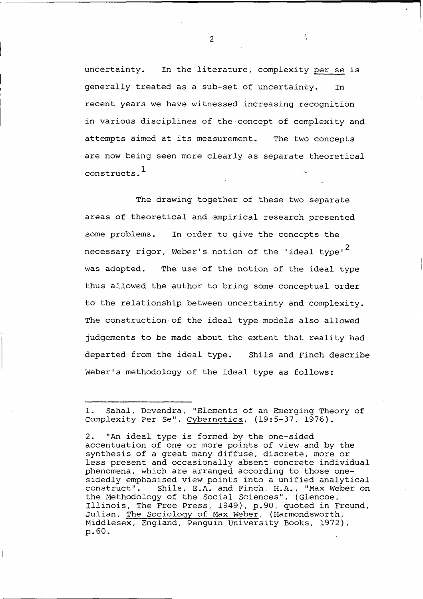uncertainty. In the literature, complexity per se is generally treated as a sub-set of uncertainty. In recent years we have witnessed increasing recognition in various disciplines of the concept of complexity and attempts aimed at its measurement. The two concepts are now being seen more clearly as separate theoretical constructs.

The drawing together of these two separate areas of theoretical and empirical research presented some problems. In order to give the concepts the necessary rigor, Weber's notion of the 'ideal type'<sup>2</sup> was adopted. The use of the notion of the ideal type thus allowed the author to bring some conceptual order to the relationship between uncertainty and complexity. The construction of the ideal type models also allowed judgements to be made about the extent that reality had departed from the ideal type. Shils and Finch describe Weber's methodology of the ideal type as follows:

 $\overline{2}$ 

<sup>1.</sup> Sahal, Devendra, "Elements of an Emerging Theory of Complexity Per Se", Cybernetica, (19:5-37, 1976).

<sup>2. &</sup>quot;An ideal type is formed by the one-sided accentuation of one or more points of view and by the synthesis of a great many diffuse, discrete, more or less present and occasionally absent concrete individual phenomena, which are arranged according to those onesidedly emphasised view points into a unified analytical construct". Shils, E.A. and Finch, H.A., "Max Weber on Shils, E.A. and Finch, H.A., "Max Weber on the Methodology of the Social Sciences", (Glencoe, Illinois, The Free Press, 1949), p.90, quoted in Freund, Julian, The Sociology of Max Weber, (Harmondsworth, Middlesex, England, Penguin University Books, 1972), p.60.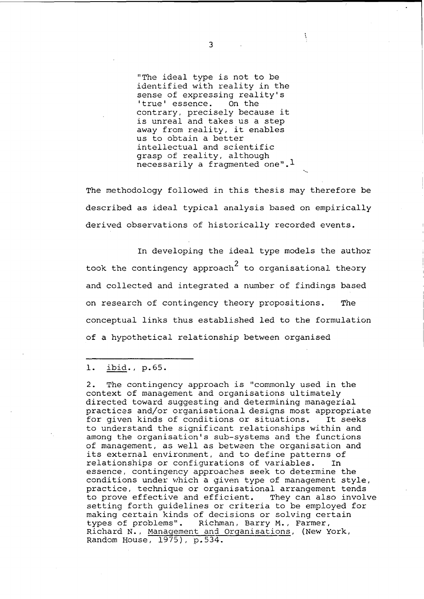"The ideal type is not to be identified with reality in the sense of expressing reality's<br>'true' essence. On the 'true' essence. contrary, precisely because it is unreal and takes us a step away from reality, it enables us to obtain a better intellectual and scientific grasp of reality, although necessarily a fragmented one". $<sup>1</sup>$ </sup>

The methodology followed in this thesis may therefore be described as ideal typical analysis based on empirically derived observations of historically recorded events.

In developing the ideal type models the author took the contingency approach $^{\text{2}}$  to organisational theory and collected and integrated a number of findings based on research of contingency theory propositions. The conceptual links thus established led to the formulation of a hypothetical relationship between organised

## 1. ibid., p.65.

2. The contingency approach is "commonly used in the context of management and organisations ultimately directed toward suggesting and determining managerial practices and/or organisational designs most appropriate for given kinds of conditions or situations. It seeks to understand the significant relationships within and among the organisation's sub-systems and the functions of management, as well as between the organisation and its external environment, and to define patterns of relationships or configurations of variables. In essence, contingency approaches seek to determine the conditions under which a given type of management style, practice, technique or organisational arrangement tends to prove effective and efficient. They can also involve setting forth guidelines or criteria to be employed for making certain kinds of decisions or solving certain<br>types of problems". Richman, Barry M., Farmer, Richman, Barry M., Farmer, Richard N., Management and Organisations, (New York, Random House, 1975), p.534.

 $\overline{3}$ 

V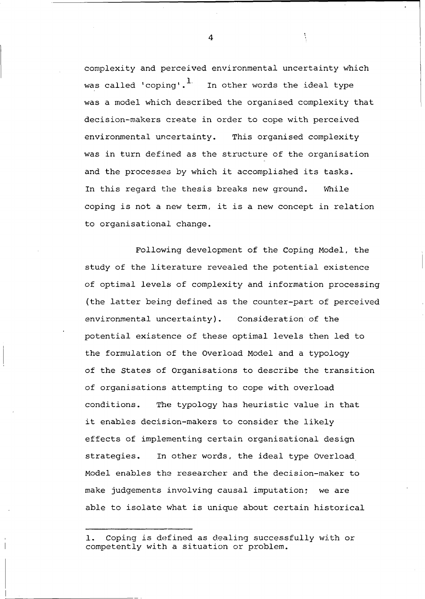complexity and perceived environmental uncertainty which was called 'coping'. In other words the ideal type was a model which described the organised complexity that decision-makers create in order to cope with perceived environmental uncertainty. This organised complexity was in turn defined as the structure of the organisation and the processes by which it accomplished its tasks. In this regard the thesis breaks new ground. While coping is not a new term, it is a new concept in relation to organisational change.

Following development of the Coping Model, the study of the literature revealed the potential existence of optimal levels of complexity and information processing (the latter being defined as the counter-part of perceived environmental uncertainty). Consideration of the potential existence of these optimal levels then led to the formulation of the Overload Model and a typology of the States of Organisations to describe the transition of organisations attempting to cope with overload conditions. The typology has heuristic value in that it enables decision-makers to consider the likely effects of implementing certain organisational design strategies. In other words, the ideal type Overload Model enables the researcher and the decision-maker to make judgements involving causal imputation; we are able to isolate what is unique about certain historical

 $\Delta$ 

Â.

<sup>1.</sup> Coping is defined as dealing successfully with or competently with a situation or problem.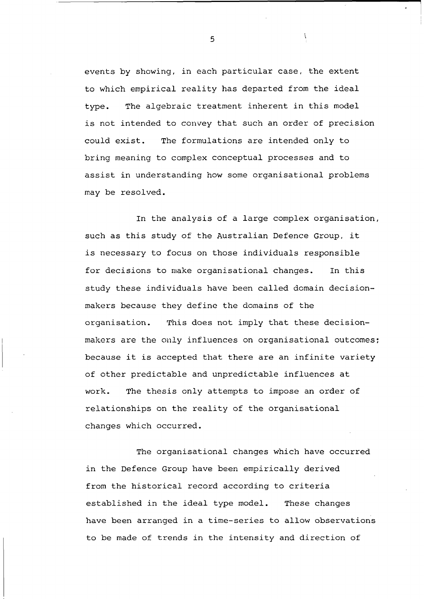events by showing, in each particular case, the extent to which empirical reality has departed from the ideal type. The algebraic treatment inherent in this model is not intended to convey that such an order of precision could exist. The formulations are intended only to bring meaning to complex conceptual processes and to assist in understanding how some organisational problems may be resolved.

In the analysis of a large complex organisation, such as this study of the Australian Defence Group, it is necessary to focus on those individuals responsible for decisions to make organisational changes. In this study these individuals have been called domain decisionmakers because they define the domains of the organisation. This does not imply that these decisionmakers are the only influences on organisational outcomes; because it is accepted that there are an infinite variety of other predictable and unpredictable influences at work. The thesis only attempts to impose an order of relationships on the reality of the organisational changes which occurred.

The organisational changes which have occurred in the Defence Group have been empirically derived from the historical record according to criteria established in the ideal type model. These changes have been arranged in a time-series to allow observations to be made of trends in the intensity and direction of

 $\mathfrak{s}$ 

À.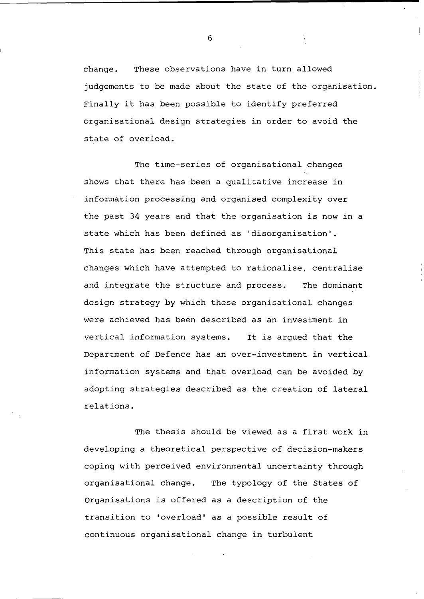change. These observations have in turn allowed judgements to be made about the state of the organisation. Finally it has been possible to identify preferred organisational design strategies in order to avoid the state of overload.

Å.

The time-series of organisational changes shows that there has been a qualitative increase in information processing and organised complexity over the past 34 years and that the organisation is now in a state which has been defined as 'disorganisation'. This state has been reached through organisational changes which have attempted to rationalise, centralise and integrate the structure and process. The dominant design strategy by which these organisational changes were achieved has been described as an investment in vertical information systems. It is argued that the Department of Defence has an over-investment in vertical information systems and that overload can be avoided by adopting strategies described as the creation of lateral relations.

The thesis should be viewed as a first work in developing a theoretical perspective of decision-makers coping with perceived environmental uncertainty through organisational change. The typology of the States of Organisations is offered as a description of the transition to 'overload' as a possible result of continuous organisational change in turbulent

6